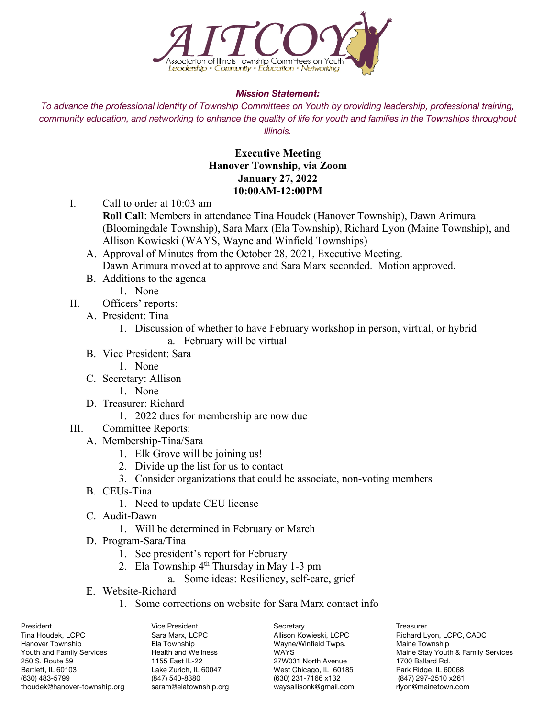

## *Mission Statement:*

*To advance the professional identity of Township Committees on Youth by providing leadership, professional training, community education, and networking to enhance the quality of life for youth and families in the Townships throughout Illinois.*

## **Executive Meeting Hanover Township, via Zoom January 27, 2022 10:00AM-12:00PM**

- I. Call to order at 10:03 am
	- **Roll Call**: Members in attendance Tina Houdek (Hanover Township), Dawn Arimura (Bloomingdale Township), Sara Marx (Ela Township), Richard Lyon (Maine Township), and Allison Kowieski (WAYS, Wayne and Winfield Townships)
	- A. Approval of Minutes from the October 28, 2021, Executive Meeting. Dawn Arimura moved at to approve and Sara Marx seconded. Motion approved.
	- B. Additions to the agenda
		- 1. None
- II. Officers' reports:
	- A. President: Tina
		- 1. Discussion of whether to have February workshop in person, virtual, or hybrid a. February will be virtual
	- B. Vice President: Sara
		- 1. None
	- C. Secretary: Allison
		- 1. None
	- D. Treasurer: Richard
		- 1. 2022 dues for membership are now due
- III. Committee Reports:
	- A. Membership-Tina/Sara
		- 1. Elk Grove will be joining us!
		- 2. Divide up the list for us to contact
		- 3. Consider organizations that could be associate, non-voting members
	- B. CEUs-Tina
		- 1. Need to update CEU license
	- C. Audit-Dawn
		- 1. Will be determined in February or March
	- D. Program-Sara/Tina
		- 1. See president's report for February
		- 2. Ela Township  $4<sup>th</sup>$  Thursday in May 1-3 pm
			- a. Some ideas: Resiliency, self-care, grief
	- E. Website-Richard
		- 1. Some corrections on website for Sara Marx contact info

Tina Houdek, LCPC **Sara Marx, LCPC** Allison Kowieski, LCPC Richard Lyon, LCPC, CADC Hanover Township Ela Township Ela Township Wayne/Winfield Twps. Maine Township Wayne/Winfield Twps. Maine Stav Youtl<br>The WAYS WAYS Maine Stav Youtlet Maine Stav Youtlet And Wellness WAYS WAYS 250 S. Route 59 1155 East IL-22 27W031 North Avenue 1700 Ballard Rd. Bartlett, IL 60103 Lake Zurich, IL 60047 West Chicago, IL 60185 Park Ridge, IL 60068<br>1630) 483-5799 (630) 6407) 640-8380 (630) 931-7166 x132 (847) 97-2510 x261 thoudek@hanover-township.org saram@elatownship.org waysallisonk@gmail.com rlyon@mainetown.com

(847) 540-8380 (630) 231-7166 x132<br>saram@elatownship.org waysallisonk@gmail.com

President Treasurer Communication Communication Vice President Secretary Communication Treasurer

Youth and Family Services **Health and Wellness** WAYS WAYS Maine Stay Youth & Family Services